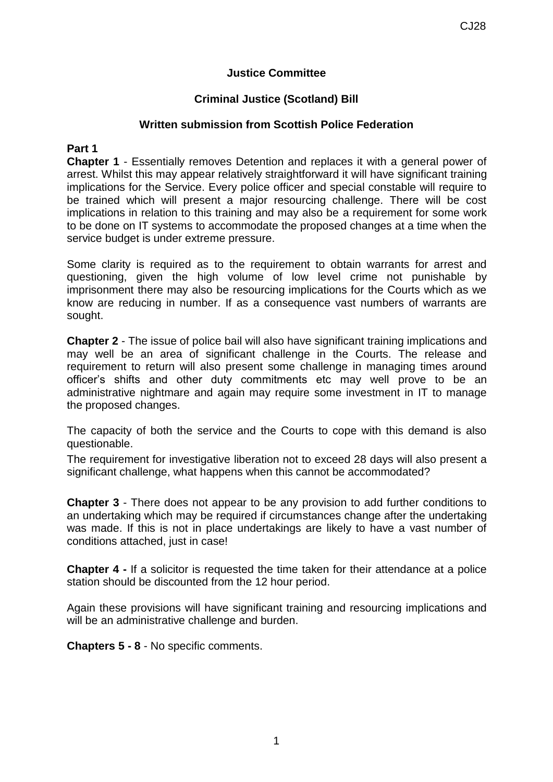### **Justice Committee**

## **Criminal Justice (Scotland) Bill**

### **Written submission from Scottish Police Federation**

## **Part 1**

**Chapter 1** - Essentially removes Detention and replaces it with a general power of arrest. Whilst this may appear relatively straightforward it will have significant training implications for the Service. Every police officer and special constable will require to be trained which will present a major resourcing challenge. There will be cost implications in relation to this training and may also be a requirement for some work to be done on IT systems to accommodate the proposed changes at a time when the service budget is under extreme pressure.

Some clarity is required as to the requirement to obtain warrants for arrest and questioning, given the high volume of low level crime not punishable by imprisonment there may also be resourcing implications for the Courts which as we know are reducing in number. If as a consequence vast numbers of warrants are sought.

**Chapter 2** - The issue of police bail will also have significant training implications and may well be an area of significant challenge in the Courts. The release and requirement to return will also present some challenge in managing times around officer's shifts and other duty commitments etc may well prove to be an administrative nightmare and again may require some investment in IT to manage the proposed changes.

The capacity of both the service and the Courts to cope with this demand is also questionable.

The requirement for investigative liberation not to exceed 28 days will also present a significant challenge, what happens when this cannot be accommodated?

**Chapter 3** - There does not appear to be any provision to add further conditions to an undertaking which may be required if circumstances change after the undertaking was made. If this is not in place undertakings are likely to have a vast number of conditions attached, just in case!

**Chapter 4 -** If a solicitor is requested the time taken for their attendance at a police station should be discounted from the 12 hour period.

Again these provisions will have significant training and resourcing implications and will be an administrative challenge and burden.

**Chapters 5 - 8** - No specific comments.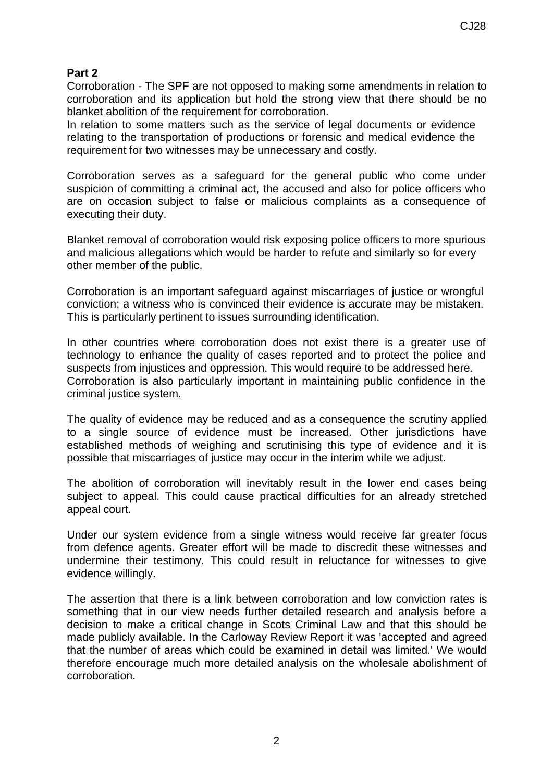# **Part 2**

Corroboration - The SPF are not opposed to making some amendments in relation to corroboration and its application but hold the strong view that there should be no blanket abolition of the requirement for corroboration.

In relation to some matters such as the service of legal documents or evidence relating to the transportation of productions or forensic and medical evidence the requirement for two witnesses may be unnecessary and costly.

Corroboration serves as a safeguard for the general public who come under suspicion of committing a criminal act, the accused and also for police officers who are on occasion subject to false or malicious complaints as a consequence of executing their duty.

Blanket removal of corroboration would risk exposing police officers to more spurious and malicious allegations which would be harder to refute and similarly so for every other member of the public.

Corroboration is an important safeguard against miscarriages of justice or wrongful conviction; a witness who is convinced their evidence is accurate may be mistaken. This is particularly pertinent to issues surrounding identification.

In other countries where corroboration does not exist there is a greater use of technology to enhance the quality of cases reported and to protect the police and suspects from injustices and oppression. This would require to be addressed here. Corroboration is also particularly important in maintaining public confidence in the criminal justice system.

The quality of evidence may be reduced and as a consequence the scrutiny applied to a single source of evidence must be increased. Other jurisdictions have established methods of weighing and scrutinising this type of evidence and it is possible that miscarriages of justice may occur in the interim while we adjust.

The abolition of corroboration will inevitably result in the lower end cases being subject to appeal. This could cause practical difficulties for an already stretched appeal court.

Under our system evidence from a single witness would receive far greater focus from defence agents. Greater effort will be made to discredit these witnesses and undermine their testimony. This could result in reluctance for witnesses to give evidence willingly.

The assertion that there is a link between corroboration and low conviction rates is something that in our view needs further detailed research and analysis before a decision to make a critical change in Scots Criminal Law and that this should be made publicly available. In the Carloway Review Report it was 'accepted and agreed that the number of areas which could be examined in detail was limited.' We would therefore encourage much more detailed analysis on the wholesale abolishment of corroboration.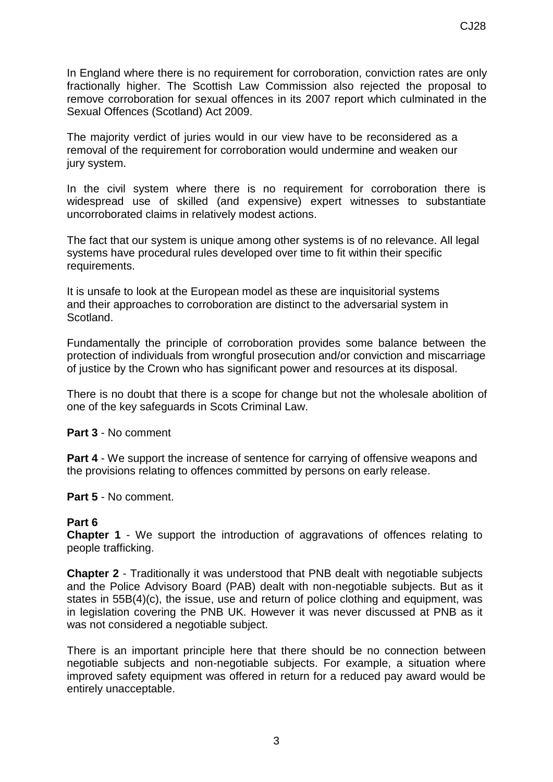In England where there is no requirement for corroboration, conviction rates are only fractionally higher. The Scottish Law Commission also rejected the proposal to remove corroboration for sexual offences in its 2007 report which culminated in the Sexual Offences (Scotland) Act 2009.

The majority verdict of juries would in our view have to be reconsidered as a removal of the requirement for corroboration would undermine and weaken our jury system.

In the civil system where there is no requirement for corroboration there is widespread use of skilled (and expensive) expert witnesses to substantiate uncorroborated claims in relatively modest actions.

The fact that our system is unique among other systems is of no relevance. All legal systems have procedural rules developed over time to fit within their specific requirements.

It is unsafe to look at the European model as these are inquisitorial systems and their approaches to corroboration are distinct to the adversarial system in Scotland.

Fundamentally the principle of corroboration provides some balance between the protection of individuals from wrongful prosecution and/or conviction and miscarriage of justice by the Crown who has significant power and resources at its disposal.

There is no doubt that there is a scope for change but not the wholesale abolition of one of the key safeguards in Scots Criminal Law.

**Part 3** - No comment

**Part 4** - We support the increase of sentence for carrying of offensive weapons and the provisions relating to offences committed by persons on early release.

#### **Part 5** - No comment.

#### **Part 6**

**Chapter 1** - We support the introduction of aggravations of offences relating to people trafficking.

**Chapter 2** - Traditionally it was understood that PNB dealt with negotiable subjects and the Police Advisory Board (PAB) dealt with non-negotiable subjects. But as it states in 55B(4)(c), the issue, use and return of police clothing and equipment, was in legislation covering the PNB UK. However it was never discussed at PNB as it was not considered a negotiable subject.

There is an important principle here that there should be no connection between negotiable subjects and non-negotiable subjects. For example, a situation where improved safety equipment was offered in return for a reduced pay award would be entirely unacceptable.